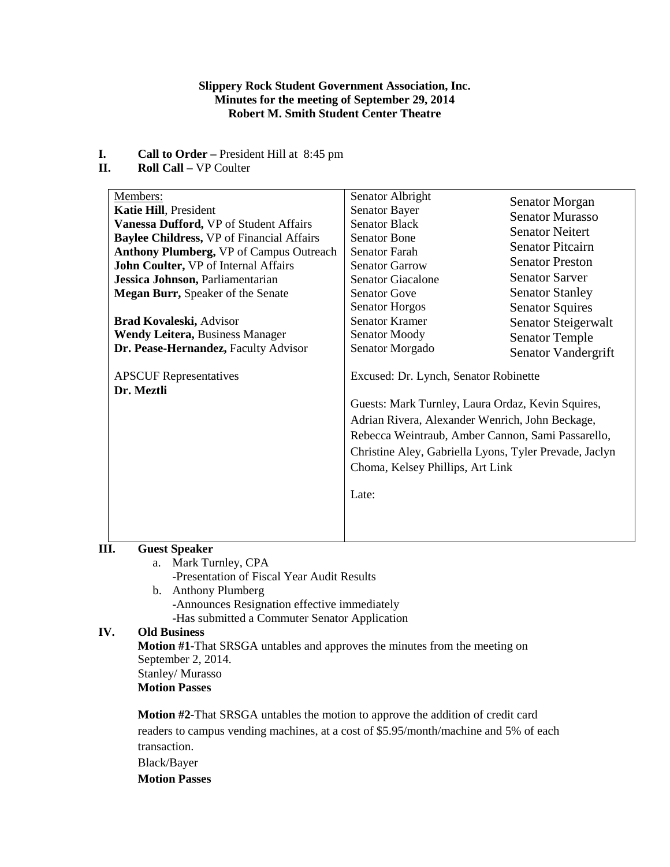### **Slippery Rock Student Government Association, Inc. Minutes for the meeting of September 29, 2014 Robert M. Smith Student Center Theatre**

- **I. Call to Order** President Hill at 8:45 pm<br>**II. Roll Call** VP Coulter
- **Roll Call VP Coulter**

| Members:                                                     | Senator Albright                                                                                                                                                                                                                                                                                          | Senator Morgan          |
|--------------------------------------------------------------|-----------------------------------------------------------------------------------------------------------------------------------------------------------------------------------------------------------------------------------------------------------------------------------------------------------|-------------------------|
| Katie Hill, President                                        | Senator Bayer                                                                                                                                                                                                                                                                                             | <b>Senator Murasso</b>  |
| Vanessa Dufford, VP of Student Affairs                       | <b>Senator Black</b>                                                                                                                                                                                                                                                                                      | <b>Senator Neitert</b>  |
| <b>Baylee Childress, VP of Financial Affairs</b>             | <b>Senator Bone</b>                                                                                                                                                                                                                                                                                       |                         |
| <b>Anthony Plumberg, VP of Campus Outreach</b>               | <b>Senator Farah</b>                                                                                                                                                                                                                                                                                      | <b>Senator Pitcairn</b> |
| John Coulter, VP of Internal Affairs                         | <b>Senator Garrow</b>                                                                                                                                                                                                                                                                                     | <b>Senator Preston</b>  |
| Jessica Johnson, Parliamentarian                             | <b>Senator Giacalone</b>                                                                                                                                                                                                                                                                                  | <b>Senator Sarver</b>   |
| <b>Megan Burr, Speaker of the Senate</b>                     | <b>Senator Gove</b>                                                                                                                                                                                                                                                                                       | <b>Senator Stanley</b>  |
|                                                              | <b>Senator Horgos</b>                                                                                                                                                                                                                                                                                     | <b>Senator Squires</b>  |
| <b>Brad Kovaleski, Advisor</b>                               | <b>Senator Kramer</b>                                                                                                                                                                                                                                                                                     | Senator Steigerwalt     |
| <b>Wendy Leitera, Business Manager</b>                       | Senator Moody                                                                                                                                                                                                                                                                                             | <b>Senator Temple</b>   |
| Dr. Pease-Hernandez, Faculty Advisor                         | Senator Morgado                                                                                                                                                                                                                                                                                           | Senator Vandergrift     |
| <b>APSCUF</b> Representatives<br>Dr. Meztli<br>Cuest Creeker | Excused: Dr. Lynch, Senator Robinette<br>Guests: Mark Turnley, Laura Ordaz, Kevin Squires,<br>Adrian Rivera, Alexander Wenrich, John Beckage,<br>Rebecca Weintraub, Amber Cannon, Sami Passarello,<br>Christine Aley, Gabriella Lyons, Tyler Prevade, Jaclyn<br>Choma, Kelsey Phillips, Art Link<br>Late: |                         |

- **III. Guest Speaker**
	- a. Mark Turnley, CPA -Presentation of Fiscal Year Audit Results
	- b. Anthony Plumberg -Announces Resignation effective immediately -Has submitted a Commuter Senator Application

# **IV. Old Business**

**Motion #1-**That SRSGA untables and approves the minutes from the meeting on September 2, 2014. Stanley/ Murasso **Motion Passes**

**Motion #2-**That SRSGA untables the motion to approve the addition of credit card readers to campus vending machines, at a cost of \$5.95/month/machine and 5% of each transaction.

Black/Bayer

**Motion Passes**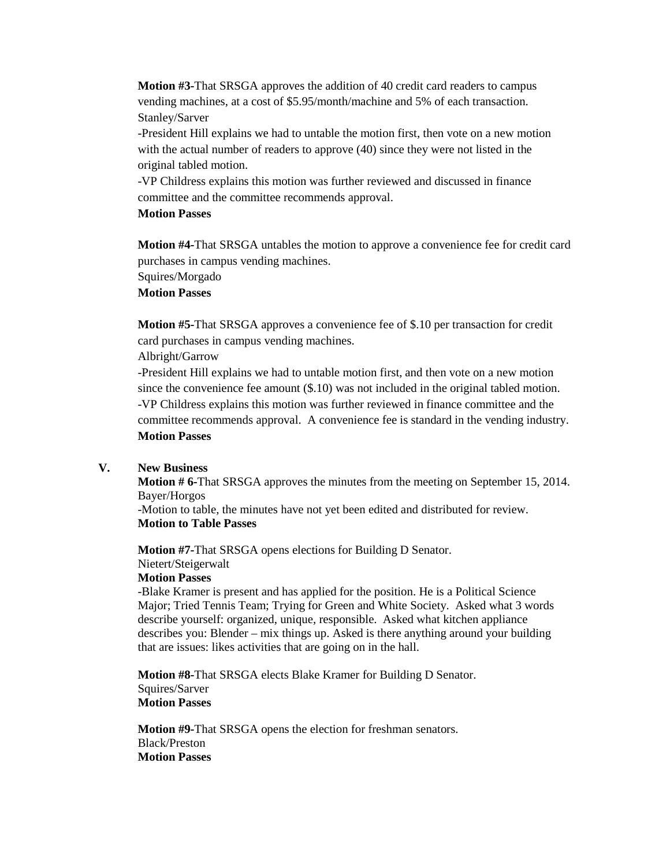**Motion #3-**That SRSGA approves the addition of 40 credit card readers to campus vending machines, at a cost of \$5.95/month/machine and 5% of each transaction. Stanley/Sarver

-President Hill explains we had to untable the motion first, then vote on a new motion with the actual number of readers to approve (40) since they were not listed in the original tabled motion.

-VP Childress explains this motion was further reviewed and discussed in finance committee and the committee recommends approval.

## **Motion Passes**

**Motion #4-**That SRSGA untables the motion to approve a convenience fee for credit card purchases in campus vending machines.

Squires/Morgado

# **Motion Passes**

**Motion #5-**That SRSGA approves a convenience fee of \$.10 per transaction for credit card purchases in campus vending machines.

Albright/Garrow

-President Hill explains we had to untable motion first, and then vote on a new motion since the convenience fee amount (\$.10) was not included in the original tabled motion. -VP Childress explains this motion was further reviewed in finance committee and the committee recommends approval. A convenience fee is standard in the vending industry. **Motion Passes**

## **V. New Business**

**Motion # 6-**That SRSGA approves the minutes from the meeting on September 15, 2014. Bayer/Horgos

-Motion to table, the minutes have not yet been edited and distributed for review. **Motion to Table Passes**

**Motion #7-**That SRSGA opens elections for Building D Senator. Nietert/Steigerwalt

# **Motion Passes**

-Blake Kramer is present and has applied for the position. He is a Political Science Major; Tried Tennis Team; Trying for Green and White Society. Asked what 3 words describe yourself: organized, unique, responsible. Asked what kitchen appliance describes you: Blender – mix things up. Asked is there anything around your building that are issues: likes activities that are going on in the hall.

**Motion #8-**That SRSGA elects Blake Kramer for Building D Senator. Squires/Sarver **Motion Passes**

**Motion #9-**That SRSGA opens the election for freshman senators. Black/Preston **Motion Passes**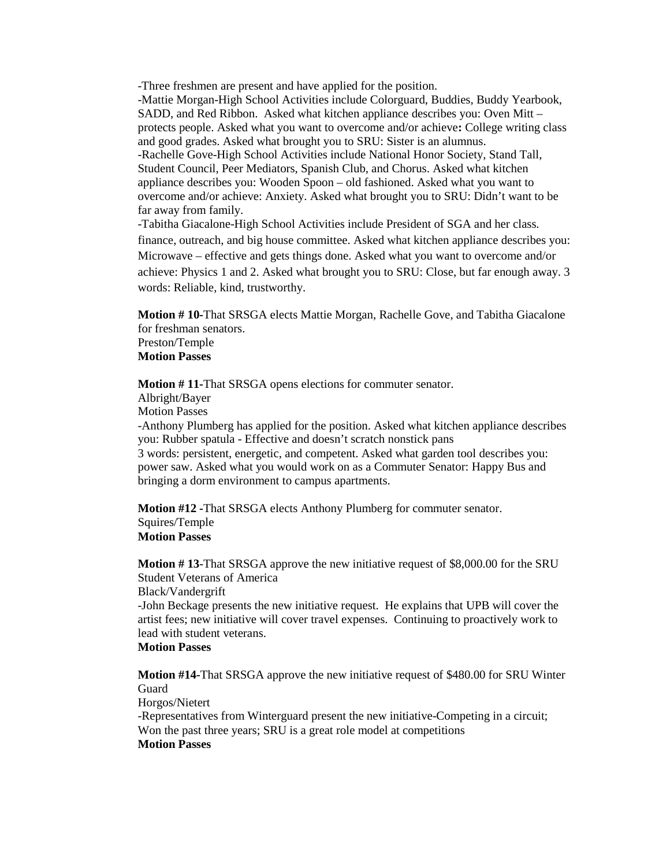-Three freshmen are present and have applied for the position.

-Mattie Morgan-High School Activities include Colorguard, Buddies, Buddy Yearbook, SADD, and Red Ribbon. Asked what kitchen appliance describes you: Oven Mitt – protects people. Asked what you want to overcome and/or achieve**:** College writing class and good grades. Asked what brought you to SRU: Sister is an alumnus. -Rachelle Gove-High School Activities include National Honor Society, Stand Tall, Student Council, Peer Mediators, Spanish Club, and Chorus. Asked what kitchen appliance describes you: Wooden Spoon – old fashioned. Asked what you want to overcome and/or achieve: Anxiety. Asked what brought you to SRU: Didn't want to be far away from family.

-Tabitha Giacalone-High School Activities include President of SGA and her class. finance, outreach, and big house committee. Asked what kitchen appliance describes you: Microwave – effective and gets things done. Asked what you want to overcome and/or achieve: Physics 1 and 2. Asked what brought you to SRU: Close, but far enough away. 3 words: Reliable, kind, trustworthy.

**Motion # 10-**That SRSGA elects Mattie Morgan, Rachelle Gove, and Tabitha Giacalone for freshman senators.

Preston/Temple **Motion Passes**

**Motion # 11-**That SRSGA opens elections for commuter senator.

Albright/Bayer Motion Passes

-Anthony Plumberg has applied for the position. Asked what kitchen appliance describes you: Rubber spatula - Effective and doesn't scratch nonstick pans

3 words: persistent, energetic, and competent. Asked what garden tool describes you: power saw. Asked what you would work on as a Commuter Senator: Happy Bus and bringing a dorm environment to campus apartments.

**Motion #12 -**That SRSGA elects Anthony Plumberg for commuter senator. Squires/Temple **Motion Passes**

**Motion # 13**-That SRSGA approve the new initiative request of \$8,000.00 for the SRU Student Veterans of America

Black/Vandergrift

-John Beckage presents the new initiative request. He explains that UPB will cover the artist fees; new initiative will cover travel expenses. Continuing to proactively work to lead with student veterans.

## **Motion Passes**

**Motion #14-**That SRSGA approve the new initiative request of \$480.00 for SRU Winter Guard

Horgos/Nietert

-Representatives from Winterguard present the new initiative-Competing in a circuit; Won the past three years; SRU is a great role model at competitions **Motion Passes**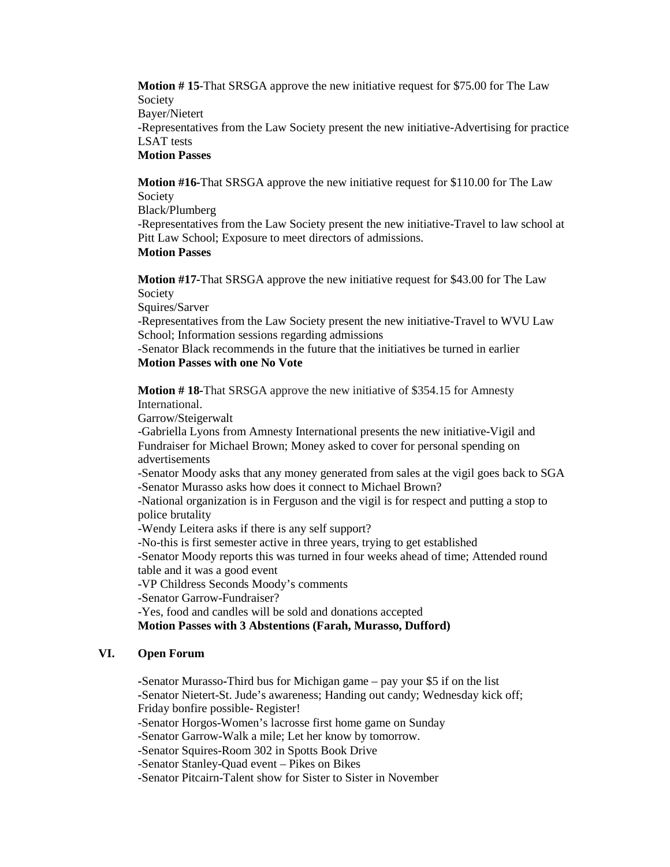**Motion # 15**-That SRSGA approve the new initiative request for \$75.00 for The Law Society Bayer/Nietert -Representatives from the Law Society present the new initiative-Advertising for practice LSAT tests **Motion Passes**

**Motion #16-**That SRSGA approve the new initiative request for \$110.00 for The Law Society

Black/Plumberg

-Representatives from the Law Society present the new initiative-Travel to law school at Pitt Law School; Exposure to meet directors of admissions.

## **Motion Passes**

**Motion #17-**That SRSGA approve the new initiative request for \$43.00 for The Law Society

Squires/Sarver

-Representatives from the Law Society present the new initiative-Travel to WVU Law School; Information sessions regarding admissions

-Senator Black recommends in the future that the initiatives be turned in earlier **Motion Passes with one No Vote**

**Motion # 18-**That SRSGA approve the new initiative of \$354.15 for Amnesty International.

Garrow/Steigerwalt

-Gabriella Lyons from Amnesty International presents the new initiative-Vigil and Fundraiser for Michael Brown; Money asked to cover for personal spending on advertisements

-Senator Moody asks that any money generated from sales at the vigil goes back to SGA -Senator Murasso asks how does it connect to Michael Brown?

-National organization is in Ferguson and the vigil is for respect and putting a stop to police brutality

-Wendy Leitera asks if there is any self support?

-No-this is first semester active in three years, trying to get established -Senator Moody reports this was turned in four weeks ahead of time; Attended round table and it was a good event

-VP Childress Seconds Moody's comments

-Senator Garrow-Fundraiser?

-Yes, food and candles will be sold and donations accepted

**Motion Passes with 3 Abstentions (Farah, Murasso, Dufford)**

#### **VI. Open Forum**

**-**Senator Murasso**-**Third bus for Michigan game – pay your \$5 if on the list **-**Senator Nietert-St. Jude's awareness; Handing out candy; Wednesday kick off; Friday bonfire possible- Register!

-Senator Horgos-Women's lacrosse first home game on Sunday

-Senator Garrow-Walk a mile; Let her know by tomorrow.

-Senator Squires-Room 302 in Spotts Book Drive

-Senator Stanley-Quad event – Pikes on Bikes

-Senator Pitcairn-Talent show for Sister to Sister in November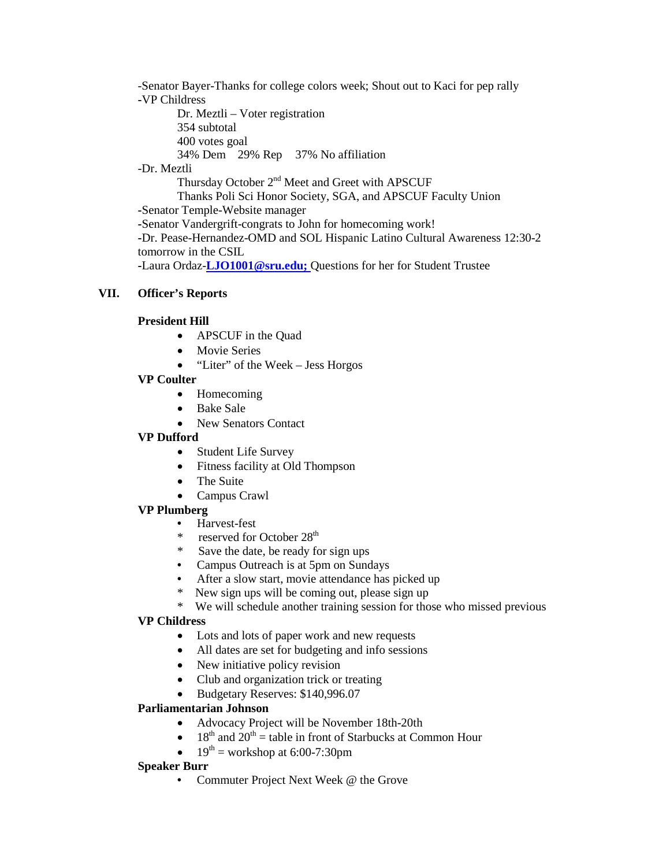-Senator Bayer-Thanks for college colors week; Shout out to Kaci for pep rally **-**VP Childress

Dr. Meztli – Voter registration 354 subtotal 400 votes goal 34% Dem 29% Rep 37% No affiliation -Dr. Meztli Thursday October  $2<sup>nd</sup>$  Meet and Greet with APSCUF Thanks Poli Sci Honor Society, SGA, and APSCUF Faculty Union **-**Senator Temple-Website manager **-**Senator Vandergrift-congrats to John for homecoming work! **-**Dr. Pease-Hernandez-OMD and SOL Hispanic Latino Cultural Awareness 12:30-2 tomorrow in the CSIL **-**Laura Ordaz-**[LJO1001@sru.edu;](mailto:LJO1001@sru.edu)** Questions for her for Student Trustee

# **VII. Officer's Reports**

#### **President Hill**

- APSCUF in the Quad
- Movie Series
- "Liter" of the Week Jess Horgos

### **VP Coulter**

- Homecoming
- Bake Sale
- New Senators Contact

#### **VP Dufford**

- Student Life Survey
- Fitness facility at Old Thompson
- The Suite
- Campus Crawl

### **VP Plumberg**

- Harvest-fest
- \* reserved for October 28<sup>th</sup>
- \* Save the date, be ready for sign ups
- Campus Outreach is at 5pm on Sundays
- After a slow start, movie attendance has picked up<br>
\* New sign ups will be coming out, please sign up
- New sign ups will be coming out, please sign up
- \* We will schedule another training session for those who missed previous

#### **VP Childress**

- Lots and lots of paper work and new requests
- All dates are set for budgeting and info sessions
- New initiative policy revision
- Club and organization trick or treating
- Budgetary Reserves: \$140,996.07

#### **Parliamentarian Johnson**

- Advocacy Project will be November 18th-20th
- 18<sup>th</sup> and  $20^{th}$  = table in front of Starbucks at Common Hour
- $19^{th}$  = workshop at 6:00-7:30pm

#### **Speaker Burr**

• Commuter Project Next Week @ the Grove